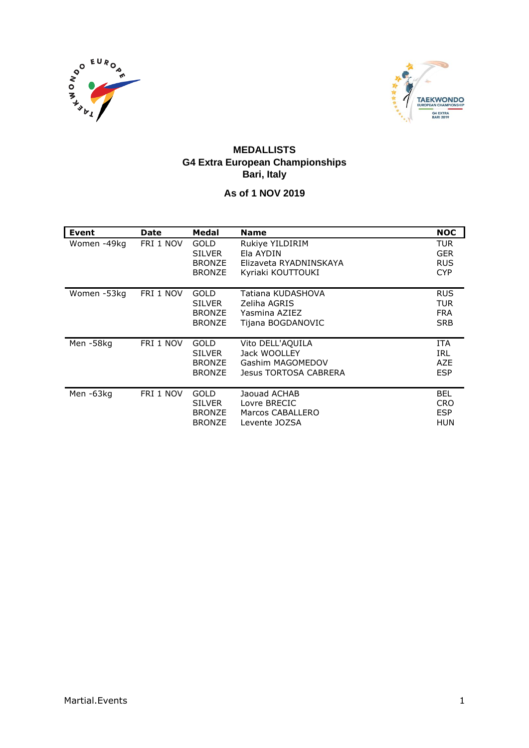



#### **MEDALLISTS G4 Extra European Championships Bari, Italy**

#### **As of 1 NOV 2019**

| <b>Event</b> | <b>Date</b> | Medal                                                          | <b>Name</b>                                                                   | <b>NOC</b>                                           |
|--------------|-------------|----------------------------------------------------------------|-------------------------------------------------------------------------------|------------------------------------------------------|
| Women -49kg  | FRI 1 NOV   | <b>GOLD</b><br><b>SILVER</b><br><b>BRONZE</b><br><b>BRONZE</b> | Rukiye YILDIRIM<br>Ela AYDIN<br>Elizaveta RYADNINSKAYA<br>Kyriaki KOUTTOUKI   | <b>TUR</b><br><b>GER</b><br><b>RUS</b><br><b>CYP</b> |
| Women -53kg  | FRI 1 NOV   | GOLD<br><b>SILVER</b><br><b>BRONZE</b><br><b>BRONZE</b>        | Tatiana KUDASHOVA<br>Zeliha AGRIS<br>Yasmina AZIEZ<br>Tijana BOGDANOVIC       | <b>RUS</b><br><b>TUR</b><br><b>FRA</b><br><b>SRB</b> |
| Men-58kg     | FRI 1 NOV   | GOLD<br><b>SILVER</b><br><b>BRONZE</b><br><b>BRONZE</b>        | Vito DELL'AQUILA<br>Jack WOOLLEY<br>Gashim MAGOMEDOV<br>Jesus TORTOSA CABRERA | <b>ITA</b><br><b>IRL</b><br>AZE<br><b>ESP</b>        |
| Men-63kg     | FRI 1 NOV   | GOLD<br><b>SILVER</b><br><b>BRONZE</b><br><b>BRONZE</b>        | Jaouad ACHAB<br>Lovre BRECIC<br>Marcos CABALLERO<br>Levente JOZSA             | <b>BEL</b><br><b>CRO</b><br><b>ESP</b><br>HUN        |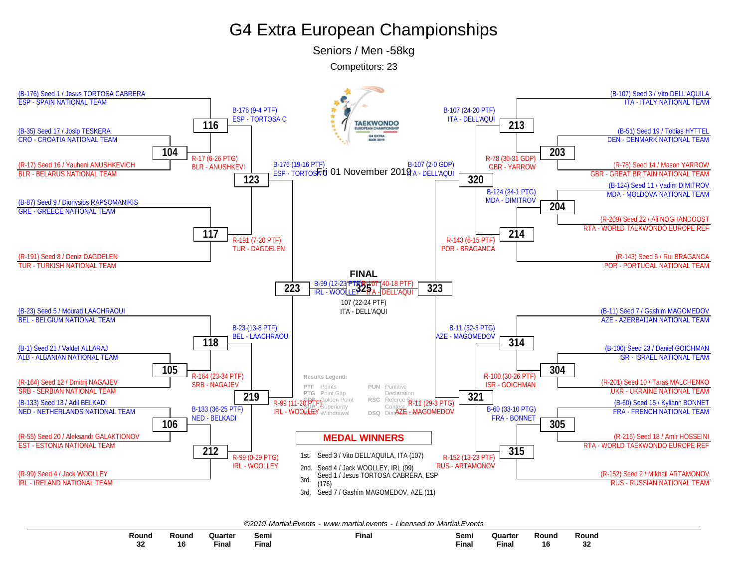Seniors / Men -58kg

Competitors: 23



|  |  | ©2019 Martial.Events - www.martial.events - Licensed to Martial.Events |
|--|--|------------------------------------------------------------------------|
|--|--|------------------------------------------------------------------------|

| Round | Round | Quarter     | Semi         | Final | Semi  | Quarter      | Round      | Round                |
|-------|-------|-------------|--------------|-------|-------|--------------|------------|----------------------|
|       |       |             |              |       | $  -$ |              |            |                      |
| JZ    | 16    | --<br>Fina. | <b>Final</b> |       | Final | <b>Final</b> | 4 C<br>ı o | e e<br>ັບຂ<br>$\sim$ |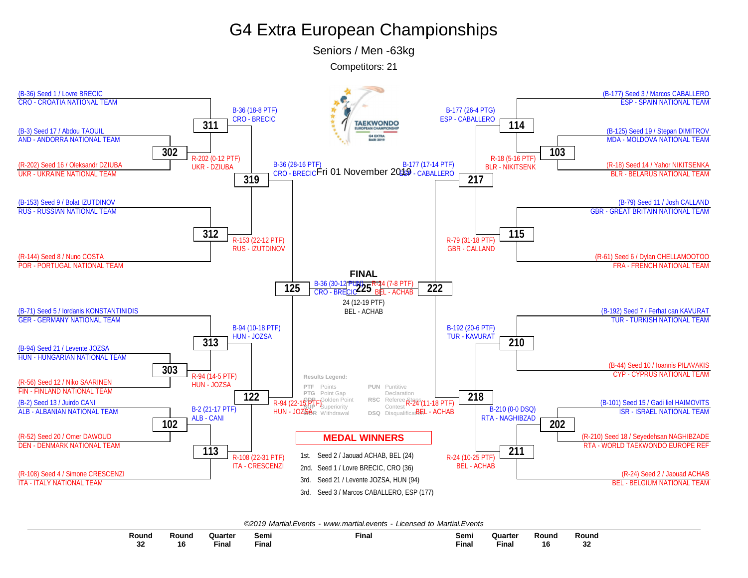Seniors / Men -63kg

Competitors: 21



*©2019 Martial.Events - [www.martial.events](http://www.martial.events) - Licensed to Martial.Events*

| Round    | Round | Quarter | Semi               | Final | Semi        | Quarter       | Round | Round    |
|----------|-------|---------|--------------------|-------|-------------|---------------|-------|----------|
|          |       |         |                    |       |             |               |       |          |
| າາ<br>◡▵ | 16    | Final   | $- \cdot$<br>Final |       | --<br>Final | $ -$<br>Final | 16    | n n<br>◡ |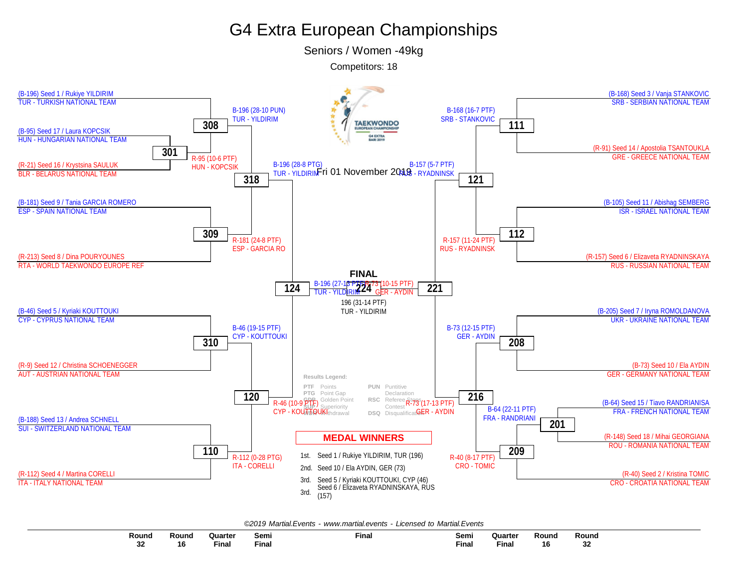Seniors / Women -49kg

Competitors: 18



*©2019 Martial.Events - [www.martial.events](http://www.martial.events) - Licensed to Martial.Events*

| Round        | Round    | Quarte             | Semi         | Final | Semi  | Quarte      | Round | Round       |
|--------------|----------|--------------------|--------------|-------|-------|-------------|-------|-------------|
|              |          |                    |              |       |       |             |       |             |
| $\sim$<br>32 | 40<br>10 | $- \cdot$<br>Final | $-$<br>Final |       | Final | --<br>Final | 16    | $\sim$<br>ັ |